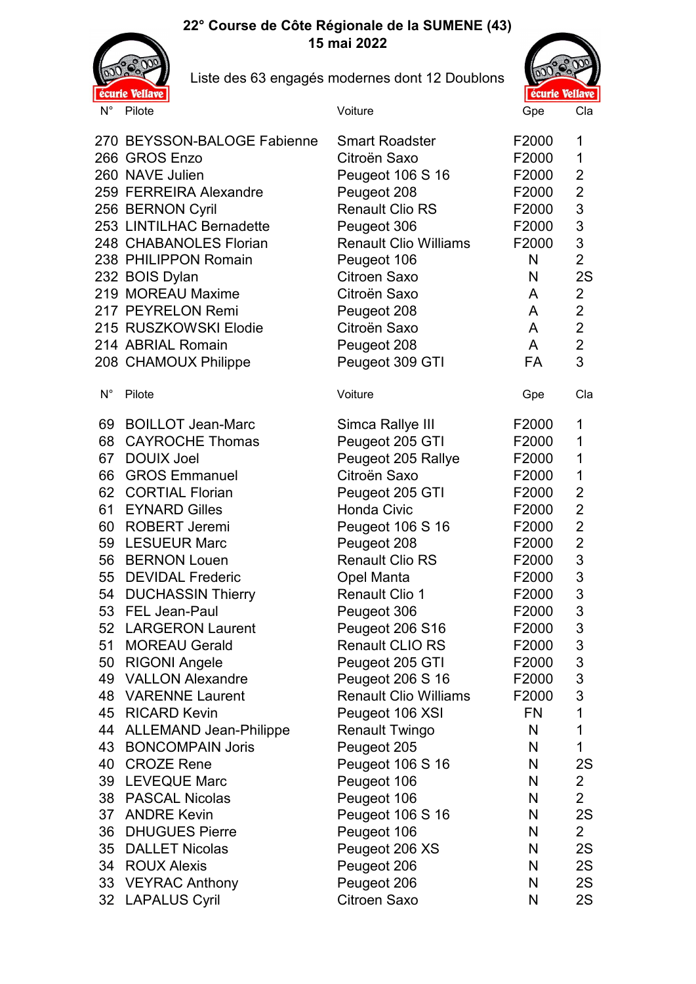## **22° Course de Côte Régionale de la SUMENE (43) 15 mai 2022**



Liste des 63 engagés modernes dont 12 Doublons



|                                                                                                                | 270 BEYSSON-BALOGE Fabienne<br>266 GROS Enzo<br>260 NAVE Julien<br>259 FERREIRA Alexandre<br>256 BERNON Cyril<br>253 LINTILHAC Bernadette<br>248 CHABANOLES Florian<br>238 PHILIPPON Romain<br>232 BOIS Dylan<br>219 MOREAU Maxime<br>217 PEYRELON Remi<br>215 RUSZKOWSKI Elodie<br>214 ABRIAL Romain<br>208 CHAMOUX Philippe                                                                                                                                                                                         | <b>Smart Roadster</b><br>Citroën Saxo<br>Peugeot 106 S 16<br>Peugeot 208<br><b>Renault Clio RS</b><br>Peugeot 306<br><b>Renault Clio Williams</b><br>Peugeot 106<br>Citroen Saxo<br>Citroën Saxo<br>Peugeot 208<br>Citroën Saxo<br>Peugeot 208<br>Peugeot 309 GTI                                                                                                                                             | F2000<br>F2000<br>F2000<br>F2000<br>F2000<br>F2000<br>F2000<br>N<br>N<br>A<br>A<br>A<br>A<br>FA                                                                       | 1<br>1<br>2<br>$\overline{2}$<br>3<br>3<br>3<br>$\overline{2}$<br>2S<br>$\overline{2}$<br>$\overline{2}$<br>$\overline{2}$<br>$\overline{2}$<br>3                 |
|----------------------------------------------------------------------------------------------------------------|-----------------------------------------------------------------------------------------------------------------------------------------------------------------------------------------------------------------------------------------------------------------------------------------------------------------------------------------------------------------------------------------------------------------------------------------------------------------------------------------------------------------------|---------------------------------------------------------------------------------------------------------------------------------------------------------------------------------------------------------------------------------------------------------------------------------------------------------------------------------------------------------------------------------------------------------------|-----------------------------------------------------------------------------------------------------------------------------------------------------------------------|-------------------------------------------------------------------------------------------------------------------------------------------------------------------|
| $\mathsf{N}^\circ$                                                                                             | Pilote                                                                                                                                                                                                                                                                                                                                                                                                                                                                                                                | Voiture                                                                                                                                                                                                                                                                                                                                                                                                       | Gpe                                                                                                                                                                   | Cla                                                                                                                                                               |
| 69<br>68<br>67<br>66<br>62<br>61<br>60<br>59<br>56<br>55<br>54<br>53<br>52<br>51<br>50<br>49<br>45<br>44<br>43 | <b>BOILLOT Jean-Marc</b><br><b>CAYROCHE Thomas</b><br><b>DOUIX Joel</b><br><b>GROS Emmanuel</b><br><b>CORTIAL Florian</b><br><b>EYNARD Gilles</b><br><b>ROBERT Jeremi</b><br><b>LESUEUR Marc</b><br><b>BERNON Louen</b><br><b>DEVIDAL Frederic</b><br><b>DUCHASSIN Thierry</b><br>FEL Jean-Paul<br><b>LARGERON Laurent</b><br><b>MOREAU Gerald</b><br><b>RIGONI Angele</b><br><b>VALLON Alexandre</b><br><b>48 VARENNE Laurent</b><br><b>RICARD Kevin</b><br><b>ALLEMAND Jean-Philippe</b><br><b>BONCOMPAIN Joris</b> | Simca Rallye III<br>Peugeot 205 GTI<br>Peugeot 205 Rallye<br>Citroën Saxo<br>Peugeot 205 GTI<br><b>Honda Civic</b><br>Peugeot 106 S 16<br>Peugeot 208<br><b>Renault Clio RS</b><br>Opel Manta<br><b>Renault Clio 1</b><br>Peugeot 306<br>Peugeot 206 S16<br>Renault CLIO RS<br>Peugeot 205 GTI<br>Peugeot 206 S 16<br><b>Renault Clio Williams</b><br>Peugeot 106 XSI<br><b>Renault Twingo</b><br>Peugeot 205 | F2000<br>F2000<br>F2000<br>F2000<br>F2000<br>F2000<br>F2000<br>F2000<br>F2000<br>F2000<br>F2000<br>F2000<br>F2000<br>F2000<br>F2000<br>F2000<br>F2000<br>FN<br>N<br>N | 1<br>1<br>1<br>1<br>$\overline{2}$<br>$\overline{2}$<br>$\overline{2}$<br>$\overline{2}$<br>3<br>3<br>$\mathfrak{S}$<br>3<br>3<br>3<br>3<br>3<br>3<br>1<br>1<br>1 |
| 40                                                                                                             | <b>CROZE Rene</b>                                                                                                                                                                                                                                                                                                                                                                                                                                                                                                     | Peugeot 106 S 16                                                                                                                                                                                                                                                                                                                                                                                              | N                                                                                                                                                                     | 2S                                                                                                                                                                |
| 39                                                                                                             | <b>LEVEQUE Marc</b>                                                                                                                                                                                                                                                                                                                                                                                                                                                                                                   | Peugeot 106                                                                                                                                                                                                                                                                                                                                                                                                   | N                                                                                                                                                                     | $\mathbf{2}$                                                                                                                                                      |
|                                                                                                                | 38 PASCAL Nicolas                                                                                                                                                                                                                                                                                                                                                                                                                                                                                                     | Peugeot 106                                                                                                                                                                                                                                                                                                                                                                                                   | N                                                                                                                                                                     | $\overline{2}$                                                                                                                                                    |
| 37                                                                                                             | <b>ANDRE Kevin</b>                                                                                                                                                                                                                                                                                                                                                                                                                                                                                                    | Peugeot 106 S 16                                                                                                                                                                                                                                                                                                                                                                                              | N                                                                                                                                                                     | 2S                                                                                                                                                                |
| 36                                                                                                             | <b>DHUGUES Pierre</b>                                                                                                                                                                                                                                                                                                                                                                                                                                                                                                 | Peugeot 106                                                                                                                                                                                                                                                                                                                                                                                                   | N                                                                                                                                                                     | $\overline{2}$                                                                                                                                                    |
| 35                                                                                                             | <b>DALLET Nicolas</b>                                                                                                                                                                                                                                                                                                                                                                                                                                                                                                 | Peugeot 206 XS                                                                                                                                                                                                                                                                                                                                                                                                | N                                                                                                                                                                     | 2S                                                                                                                                                                |
|                                                                                                                | 34 ROUX Alexis                                                                                                                                                                                                                                                                                                                                                                                                                                                                                                        | Peugeot 206                                                                                                                                                                                                                                                                                                                                                                                                   | N                                                                                                                                                                     | 2S                                                                                                                                                                |
| 33                                                                                                             | <b>VEYRAC Anthony</b>                                                                                                                                                                                                                                                                                                                                                                                                                                                                                                 | Peugeot 206                                                                                                                                                                                                                                                                                                                                                                                                   | N                                                                                                                                                                     | 2S                                                                                                                                                                |
| 32                                                                                                             | <b>LAPALUS Cyril</b>                                                                                                                                                                                                                                                                                                                                                                                                                                                                                                  | Citroen Saxo                                                                                                                                                                                                                                                                                                                                                                                                  | N                                                                                                                                                                     | 2S                                                                                                                                                                |